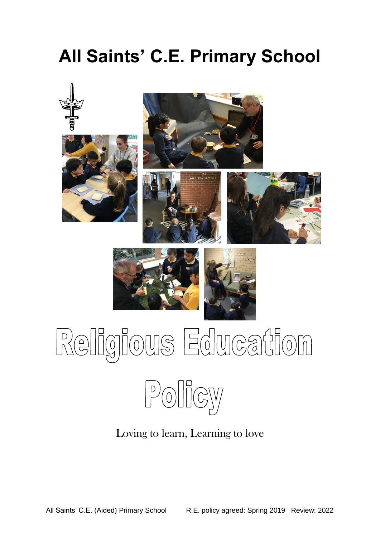## **All Saints' C.E. Primary School**



# Religious Education



Loving to learn, Learning to love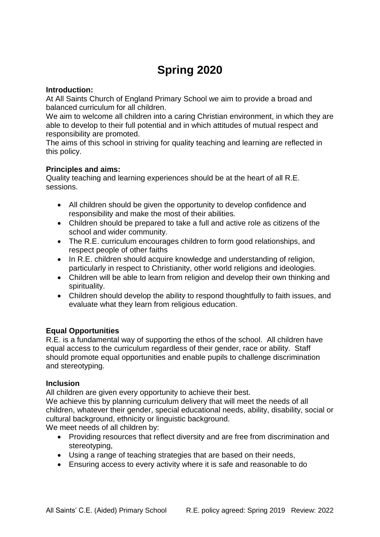### **Spring 2020**

#### **Introduction:**

At All Saints Church of England Primary School we aim to provide a broad and balanced curriculum for all children.

We aim to welcome all children into a caring Christian environment, in which they are able to develop to their full potential and in which attitudes of mutual respect and responsibility are promoted.

The aims of this school in striving for quality teaching and learning are reflected in this policy.

#### **Principles and aims:**

Quality teaching and learning experiences should be at the heart of all R.E. sessions.

- All children should be given the opportunity to develop confidence and responsibility and make the most of their abilities.
- Children should be prepared to take a full and active role as citizens of the school and wider community.
- The R.E. curriculum encourages children to form good relationships, and respect people of other faiths
- In R.E. children should acquire knowledge and understanding of religion, particularly in respect to Christianity, other world religions and ideologies.
- Children will be able to learn from religion and develop their own thinking and spirituality.
- Children should develop the ability to respond thoughtfully to faith issues, and evaluate what they learn from religious education.

#### **Equal Opportunities**

R.E. is a fundamental way of supporting the ethos of the school. All children have equal access to the curriculum regardless of their gender, race or ability. Staff should promote equal opportunities and enable pupils to challenge discrimination and stereotyping.

#### **Inclusion**

All children are given every opportunity to achieve their best.

We achieve this by planning curriculum delivery that will meet the needs of all children, whatever their gender, special educational needs, ability, disability, social or cultural background, ethnicity or linguistic background.

We meet needs of all children by:

- Providing resources that reflect diversity and are free from discrimination and stereotyping,
- Using a range of teaching strategies that are based on their needs,
- Ensuring access to every activity where it is safe and reasonable to do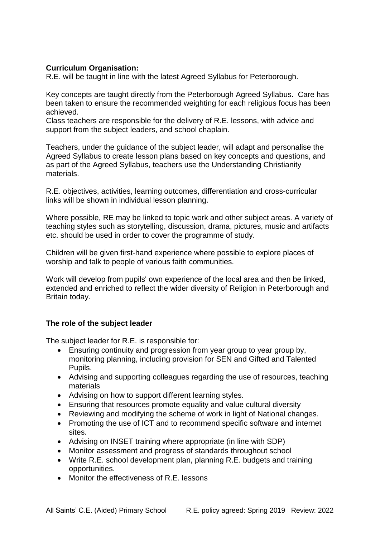#### **Curriculum Organisation:**

R.E. will be taught in line with the latest Agreed Syllabus for Peterborough.

Key concepts are taught directly from the Peterborough Agreed Syllabus. Care has been taken to ensure the recommended weighting for each religious focus has been achieved.

Class teachers are responsible for the delivery of R.E. lessons, with advice and support from the subject leaders, and school chaplain.

Teachers, under the guidance of the subject leader, will adapt and personalise the Agreed Syllabus to create lesson plans based on key concepts and questions, and as part of the Agreed Syllabus, teachers use the Understanding Christianity materials.

R.E. objectives, activities, learning outcomes, differentiation and cross-curricular links will be shown in individual lesson planning.

Where possible, RE may be linked to topic work and other subject areas. A variety of teaching styles such as storytelling, discussion, drama, pictures, music and artifacts etc. should be used in order to cover the programme of study.

Children will be given first-hand experience where possible to explore places of worship and talk to people of various faith communities.

Work will develop from pupils' own experience of the local area and then be linked, extended and enriched to reflect the wider diversity of Religion in Peterborough and Britain today.

#### **The role of the subject leader**

The subject leader for R.E. is responsible for:

- Ensuring continuity and progression from year group to year group by, monitoring planning, including provision for SEN and Gifted and Talented Pupils.
- Advising and supporting colleagues regarding the use of resources, teaching materials
- Advising on how to support different learning styles.
- Ensuring that resources promote equality and value cultural diversity
- Reviewing and modifying the scheme of work in light of National changes.
- Promoting the use of ICT and to recommend specific software and internet sites.
- Advising on INSET training where appropriate (in line with SDP)
- Monitor assessment and progress of standards throughout school
- Write R.E. school development plan, planning R.E. budgets and training opportunities.
- Monitor the effectiveness of R.E. lessons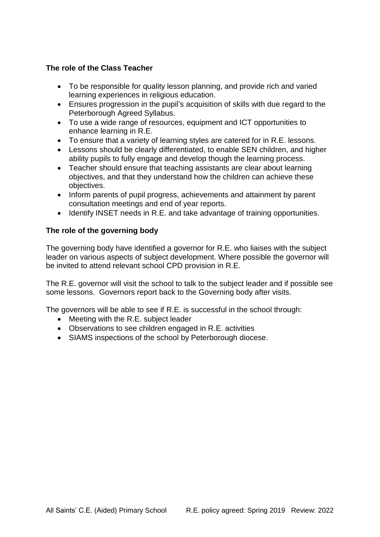#### **The role of the Class Teacher**

- To be responsible for quality lesson planning, and provide rich and varied learning experiences in religious education.
- Ensures progression in the pupil's acquisition of skills with due regard to the Peterborough Agreed Syllabus.
- To use a wide range of resources, equipment and ICT opportunities to enhance learning in R.E.
- To ensure that a variety of learning styles are catered for in R.E. lessons.
- Lessons should be clearly differentiated, to enable SEN children, and higher ability pupils to fully engage and develop though the learning process.
- Teacher should ensure that teaching assistants are clear about learning objectives, and that they understand how the children can achieve these objectives.
- Inform parents of pupil progress, achievements and attainment by parent consultation meetings and end of year reports.
- Identify INSET needs in R.E. and take advantage of training opportunities.

#### **The role of the governing body**

The governing body have identified a governor for R.E. who liaises with the subject leader on various aspects of subject development. Where possible the governor will be invited to attend relevant school CPD provision in R.E.

The R.E. governor will visit the school to talk to the subject leader and if possible see some lessons. Governors report back to the Governing body after visits.

The governors will be able to see if R.E. is successful in the school through:

- Meeting with the R.E. subject leader
- Observations to see children engaged in R.E. activities
- SIAMS inspections of the school by Peterborough diocese.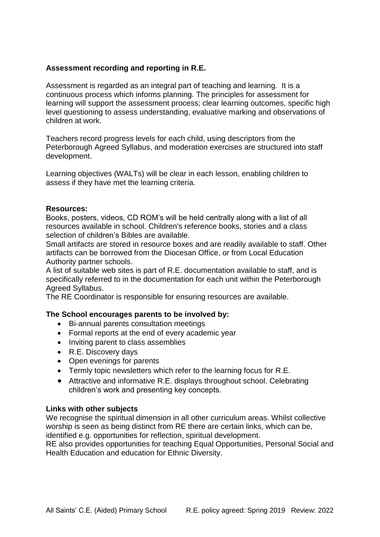#### **Assessment recording and reporting in R.E.**

Assessment is regarded as an integral part of teaching and learning. It is a continuous process which informs planning. The principles for assessment for learning will support the assessment process; clear learning outcomes, specific high level questioning to assess understanding, evaluative marking and observations of children at work.

Teachers record progress levels for each child, using descriptors from the Peterborough Agreed Syllabus, and moderation exercises are structured into staff development.

Learning objectives (WALTs) will be clear in each lesson, enabling children to assess if they have met the learning criteria.

#### **Resources:**

Books, posters, videos, CD ROM's will be held centrally along with a list of all resources available in school. Children's reference books, stories and a class selection of children's Bibles are available.

Small artifacts are stored in resource boxes and are readily available to staff. Other artifacts can be borrowed from the Diocesan Office, or from Local Education Authority partner schools.

A list of suitable web sites is part of R.E. documentation available to staff, and is specifically referred to in the documentation for each unit within the Peterborough Agreed Syllabus.

The RE Coordinator is responsible for ensuring resources are available.

#### **The School encourages parents to be involved by:**

- Bi-annual parents consultation meetings
- Formal reports at the end of every academic year
- Inviting parent to class assemblies
- R.E. Discovery days
- Open evenings for parents
- Termly topic newsletters which refer to the learning focus for R.E.
- Attractive and informative R.E. displays throughout school. Celebrating children's work and presenting key concepts.

#### **Links with other subjects**

We recognise the spiritual dimension in all other curriculum areas. Whilst collective worship is seen as being distinct from RE there are certain links, which can be, identified e.g. opportunities for reflection, spiritual development.

RE also provides opportunities for teaching Equal Opportunities, Personal Social and Health Education and education for Ethnic Diversity.